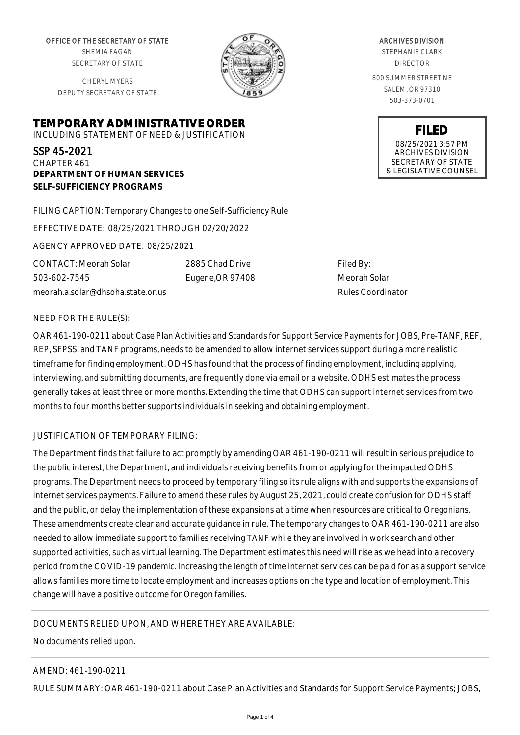OFFICE OF THE SECRETARY OF STATE SHEMIA FAGAN SECRETARY OF STATE

CHERYL MYERS DEPUTY SECRETARY OF STATE

**DEPARTMENT OF HUMAN SERVICES**

**SELF-SUFFICIENCY PROGRAMS**



ARCHIVES DIVISION STEPHANIE CLARK DIRECTOR 800 SUMMER STREET NE SALEM, OR 97310

503-373-0701

**FILED** 08/25/2021 3:57 PM ARCHIVES DIVISION SECRETARY OF STATE & LEGISLATIVE COUNSEL

FILING CAPTION: Temporary Changes to one Self-Sufficiency Rule

EFFECTIVE DATE: 08/25/2021 THROUGH 02/20/2022

**TEMPORARY ADMINISTRATIVE ORDER** INCLUDING STATEMENT OF NEED & JUSTIFICATION

AGENCY APPROVED DATE: 08/25/2021

CONTACT: Meorah Solar 503-602-7545 meorah.a.solar@dhsoha.state.or.us 2885 Chad Drive Eugene,OR 97408

Filed By: Meorah Solar Rules Coordinator

## NEED FOR THE RULE(S):

SSP 45-2021 CHAPTER 461

OAR 461-190-0211 about Case Plan Activities and Standards for Support Service Payments for JOBS, Pre-TANF, REF, REP, SFPSS, and TANF programs, needs to be amended to allow internet services support during a more realistic timeframe for finding employment. ODHS has found that the process of finding employment, including applying, interviewing, and submitting documents, are frequently done via email or a website. ODHS estimates the process generally takes at least three or more months. Extending the time that ODHS can support internet services from two months to four months better supports individuals in seeking and obtaining employment.

## JUSTIFICATION OF TEMPORARY FILING:

The Department finds that failure to act promptly by amending OAR 461-190-0211 will result in serious prejudice to the public interest, the Department, and individuals receiving benefits from or applying for the impacted ODHS programs. The Department needs to proceed by temporary filing so its rule aligns with and supports the expansions of internet services payments. Failure to amend these rules by August 25, 2021, could create confusion for ODHS staff and the public, or delay the implementation of these expansions at a time when resources are critical to Oregonians. These amendments create clear and accurate guidance in rule. The temporary changes to OAR 461-190-0211 are also needed to allow immediate support to families receiving TANF while they are involved in work search and other supported activities, such as virtual learning. The Department estimates this need will rise as we head into a recovery period from the COVID-19 pandemic. Increasing the length of time internet services can be paid for as a support service allows families more time to locate employment and increases options on the type and location of employment. This change will have a positive outcome for Oregon families.

## DOCUMENTS RELIED UPON, AND WHERE THEY ARE AVAILABLE:

## No documents relied upon.

## AMEND: 461-190-0211

RULE SUMMARY: OAR 461-190-0211 about Case Plan Activities and Standards for Support Service Payments; JOBS,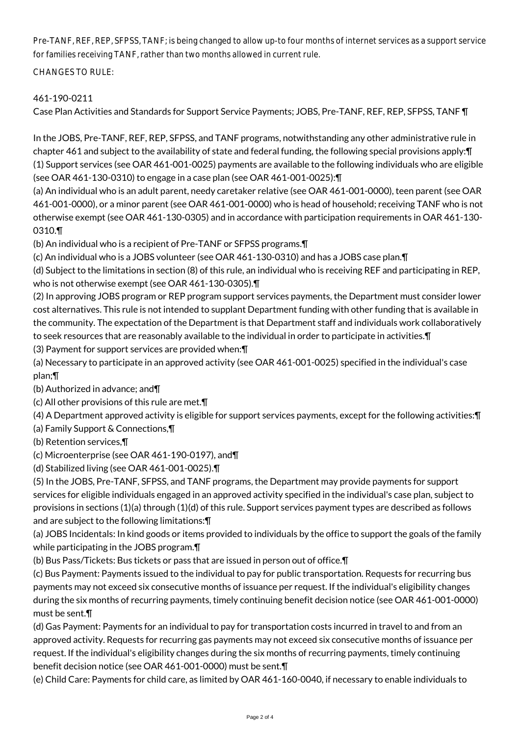Pre-TANF, REF, REP, SFPSS, TANF; is being changed to allow up-to four months of internet services as a support service for families receiving TANF, rather than two months allowed in current rule.

CHANGES TO RULE:

# 461-190-0211

Case Plan Activities and Standards for Support Service Payments; JOBS, Pre-TANF, REF, REP, SFPSS, TANF ¶

In the JOBS, Pre-TANF, REF, REP, SFPSS, and TANF programs, notwithstanding any other administrative rule in chapter 461 and subject to the availability of state and federal funding, the following special provisions apply:¶ (1) Support services (see OAR 461-001-0025) payments are available to the following individuals who are eligible (see OAR 461-130-0310) to engage in a case plan (see OAR 461-001-0025):¶

(a) An individual who is an adult parent, needy caretaker relative (see OAR 461-001-0000), teen parent (see OAR 461-001-0000), or a minor parent (see OAR 461-001-0000) who is head of household; receiving TANF who is not otherwise exempt (see OAR 461-130-0305) and in accordance with participation requirements in OAR 461-130- 0310.¶

(b) An individual who is a recipient of Pre-TANF or SFPSS programs.¶

(c) An individual who is a JOBS volunteer (see OAR 461-130-0310) and has a JOBS case plan.¶

(d) Subject to the limitations in section (8) of this rule, an individual who is receiving REF and participating in REP, who is not otherwise exempt (see OAR 461-130-0305).¶

(2) In approving JOBS program or REP program support services payments, the Department must consider lower cost alternatives. This rule is not intended to supplant Department funding with other funding that is available in the community. The expectation of the Department is that Department staff and individuals work collaboratively to seek resources that are reasonably available to the individual in order to participate in activities.¶

(3) Payment for support services are provided when:¶

(a) Necessary to participate in an approved activity (see OAR 461-001-0025) specified in the individual's case plan;¶

(b) Authorized in advance; and¶

(c) All other provisions of this rule are met.¶

(4) A Department approved activity is eligible for support services payments, except for the following activities:¶

(a) Family Support & Connections,¶

(b) Retention services,¶

(c) Microenterprise (see OAR 461-190-0197), and¶

(d) Stabilized living (see OAR 461-001-0025).¶

(5) In the JOBS, Pre-TANF, SFPSS, and TANF programs, the Department may provide payments for support services for eligible individuals engaged in an approved activity specified in the individual's case plan, subject to provisions in sections (1)(a) through (1)(d) of this rule. Support services payment types are described as follows and are subject to the following limitations:¶

(a) JOBS Incidentals: In kind goods or items provided to individuals by the office to support the goals of the family while participating in the JOBS program.¶

(b) Bus Pass/Tickets: Bus tickets or pass that are issued in person out of office.¶

(c) Bus Payment: Payments issued to the individual to pay for public transportation. Requests for recurring bus payments may not exceed six consecutive months of issuance per request. If the individual's eligibility changes during the six months of recurring payments, timely continuing benefit decision notice (see OAR 461-001-0000) must be sent.¶

(d) Gas Payment: Payments for an individual to pay for transportation costs incurred in travel to and from an approved activity. Requests for recurring gas payments may not exceed six consecutive months of issuance per request. If the individual's eligibility changes during the six months of recurring payments, timely continuing benefit decision notice (see OAR 461-001-0000) must be sent.¶

(e) Child Care: Payments for child care, as limited by OAR 461-160-0040, if necessary to enable individuals to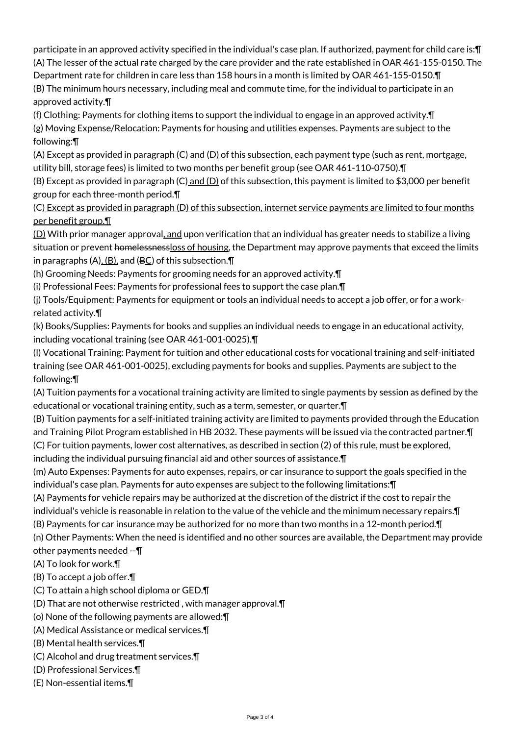participate in an approved activity specified in the individual's case plan. If authorized, payment for child care is:¶ (A) The lesser of the actual rate charged by the care provider and the rate established in OAR 461-155-0150. The

Department rate for children in care less than 158 hours in a month is limited by OAR 461-155-0150.¶ (B) The minimum hours necessary, including meal and commute time, for the individual to participate in an approved activity.¶

(f) Clothing: Payments for clothing items to support the individual to engage in an approved activity.¶

(g) Moving Expense/Relocation: Payments for housing and utilities expenses. Payments are subject to the following:¶

(A) Except as provided in paragraph (C) and (D) of this subsection, each payment type (such as rent, mortgage, utility bill, storage fees) is limited to two months per benefit group (see OAR 461-110-0750).¶

(B) Except as provided in paragraph (C) and (D) of this subsection, this payment is limited to \$3,000 per benefit group for each three-month period.¶

(C) Except as provided in paragraph (D) of this subsection, internet service payments are limited to four months per benefit group.¶

(D) With prior manager approval, and upon verification that an individual has greater needs to stabilize a living situation or prevent homelessnessloss of housing, the Department may approve payments that exceed the limits in paragraphs  $(A)$ ,  $(B)$ , and  $(BC)$  of this subsection. $\P$ 

(h) Grooming Needs: Payments for grooming needs for an approved activity.¶

(i) Professional Fees: Payments for professional fees to support the case plan.¶

(j) Tools/Equipment: Payments for equipment or tools an individual needs to accept a job offer, or for a workrelated activity.¶

(k) Books/Supplies: Payments for books and supplies an individual needs to engage in an educational activity, including vocational training (see OAR 461-001-0025).¶

(l) Vocational Training: Payment for tuition and other educational costs for vocational training and self-initiated training (see OAR 461-001-0025), excluding payments for books and supplies. Payments are subject to the following:¶

(A) Tuition payments for a vocational training activity are limited to single payments by session as defined by the educational or vocational training entity, such as a term, semester, or quarter.¶

(B) Tuition payments for a self-initiated training activity are limited to payments provided through the Education and Training Pilot Program established in HB 2032. These payments will be issued via the contracted partner.¶ (C) For tuition payments, lower cost alternatives, as described in section (2) of this rule, must be explored, including the individual pursuing financial aid and other sources of assistance.¶

(m) Auto Expenses: Payments for auto expenses, repairs, or car insurance to support the goals specified in the individual's case plan. Payments for auto expenses are subject to the following limitations:¶

(A) Payments for vehicle repairs may be authorized at the discretion of the district if the cost to repair the individual's vehicle is reasonable in relation to the value of the vehicle and the minimum necessary repairs.¶

(B) Payments for car insurance may be authorized for no more than two months in a 12-month period.¶

(n) Other Payments: When the need is identified and no other sources are available, the Department may provide other payments needed --¶

- (A) To look for work.¶
- (B) To accept a job offer.¶
- (C) To attain a high school diploma or GED.¶
- (D) That are not otherwise restricted , with manager approval.¶
- (o) None of the following payments are allowed:¶
- (A) Medical Assistance or medical services.¶
- (B) Mental health services.¶
- (C) Alcohol and drug treatment services.¶
- (D) Professional Services.¶
- (E) Non-essential items.¶